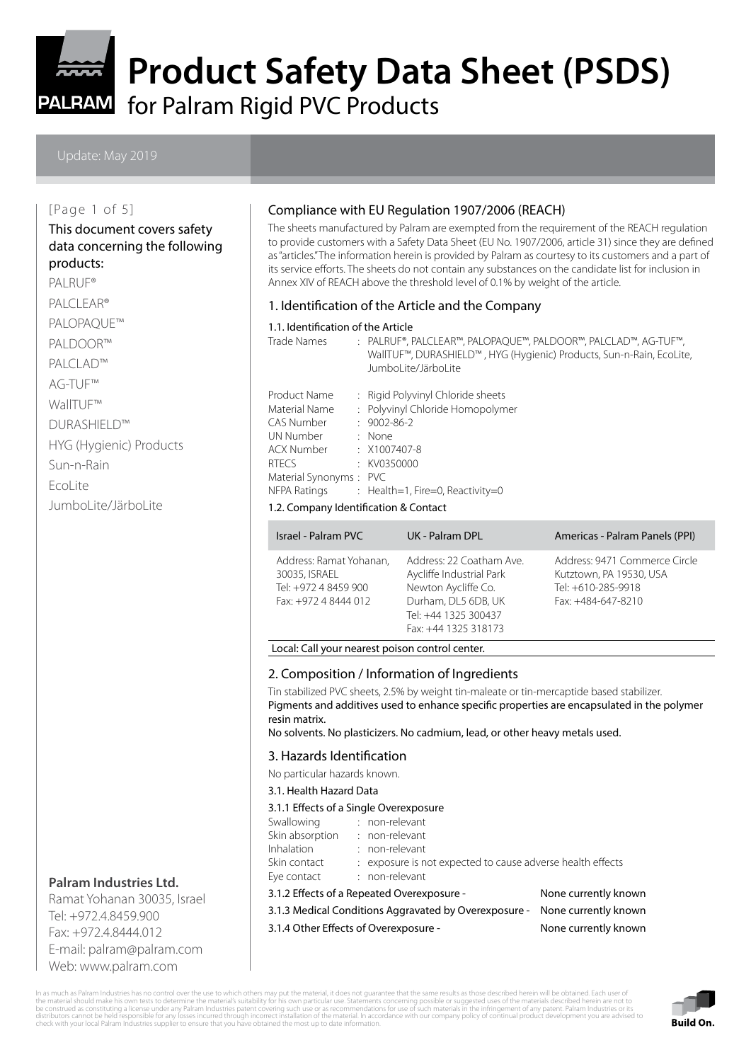

PALRAM for Palram Rigid PVC Products

#### [Page 1 of 5]

#### This document covers safety data concerning the following products:

PALRUF® PALCLEAR® PALOPAQUE™ PALDOOR™ PALCLAD™ AG-TUF™ WallTUF™ DURASHIELD™ HYG (Hygienic) Products Sun-n-Rain EcoLite JumboLite/JärboLite

## **Palram Industries Ltd.**

Ramat Yohanan 30035, Israel Tel: +972.4.8459.900 Fax: +972.4.8444.012 E-mail: palram@palram.com Web: www.palram.com

### Compliance with EU Regulation 1907/2006 (REACH)

The sheets manufactured by Palram are exempted from the requirement of the REACH regulation to provide customers with a Safety Data Sheet (EU No. 1907/2006, article 31) since they are defined as "articles." The information herein is provided by Palram as courtesy to its customers and a part of its service efforts. The sheets do not contain any substances on the candidate list for inclusion in Annex XIV of REACH above the threshold level of 0.1% by weight of the article.

#### 1. Identification of the Article and the Company

#### 1.1. Identification of the Article

| Trade Names I        | : PALRUF®, PALCLEAR™, PALOPAQUE™, PALDOOR™, PALCLAD™, AG-TUF™,<br>WallTUF™, DURASHIELD™, HYG (Hygienic) Products, Sun-n-Rain, EcoLite,<br>JumboLite/JärboLite |
|----------------------|---------------------------------------------------------------------------------------------------------------------------------------------------------------|
| $\sim$ $\sim$ $\sim$ |                                                                                                                                                               |

| Product Name           | : Rigid Polyvinyl Chloride sheets |
|------------------------|-----------------------------------|
| Material Name          | : Polyvinyl Chloride Homopolymer  |
| <b>CAS Number</b>      | $: 9002 - 86 - 2$                 |
| UN Number              | : None                            |
| <b>ACX Number</b>      | $\div$ X1007407-8                 |
| <b>RTFCS</b>           | : KV0350000                       |
| Material Synonyms: PVC |                                   |
| NFPA Ratings           | : Health=1, Fire=0, Reactivity=0  |
|                        |                                   |

#### 1.2. Company Identification & Contact

| <b>Israel - Palram PVC</b>                                                               | UK - Palram DPL                                                                                                                                    | Americas - Palram Panels (PPI)                                                                       |
|------------------------------------------------------------------------------------------|----------------------------------------------------------------------------------------------------------------------------------------------------|------------------------------------------------------------------------------------------------------|
| Address: Ramat Yohanan,<br>30035, ISRAEL<br>Tel: +972 4 8459 900<br>Fax: +972 4 8444 012 | Address: 22 Coatham Ave.<br>Aycliffe Industrial Park<br>Newton Aycliffe Co.<br>Durham, DL5 6DB, UK<br>Tel: +44 1325 300437<br>Fax: +44 1325 318173 | Address: 9471 Commerce Circle<br>Kutztown, PA 19530, USA<br>Tel: +610-285-9918<br>Fax: +484-647-8210 |

#### Local: Call your nearest poison control center.

#### 2. Composition / Information of Ingredients

Tin stabilized PVC sheets, 2.5% by weight tin-maleate or tin-mercaptide based stabilizer. Pigments and additives used to enhance specific properties are encapsulated in the polymer resin matrix.

No solvents. No plasticizers. No cadmium, lead, or other heavy metals used.

#### 3. Hazards Identification

No particular hazards known.

3.1. Health Hazard Data

#### 3.1.1 Effects of a Single Overexposure

| Swallowing                                                         |                                                                             | : non-relevant                                             |  |  |  |
|--------------------------------------------------------------------|-----------------------------------------------------------------------------|------------------------------------------------------------|--|--|--|
| Skin absorption                                                    |                                                                             | : non-relevant                                             |  |  |  |
| <b>Inhalation</b>                                                  |                                                                             | : non-relevant                                             |  |  |  |
| Skin contact                                                       |                                                                             | : exposure is not expected to cause adverse health effects |  |  |  |
| Eye contact                                                        |                                                                             | : non-relevant                                             |  |  |  |
| 3.1.2 Effects of a Repeated Overexposure -<br>None currently known |                                                                             |                                                            |  |  |  |
|                                                                    | 2.1.2 Modical Conditions Aggregated by Overexpesure<br>Nono currontly known |                                                            |  |  |  |

3.1.3 Medical Conditions Aggravated by Overexposure - None currently known

- 3.1.4 Other Effects of Overexposure None currently known
- 

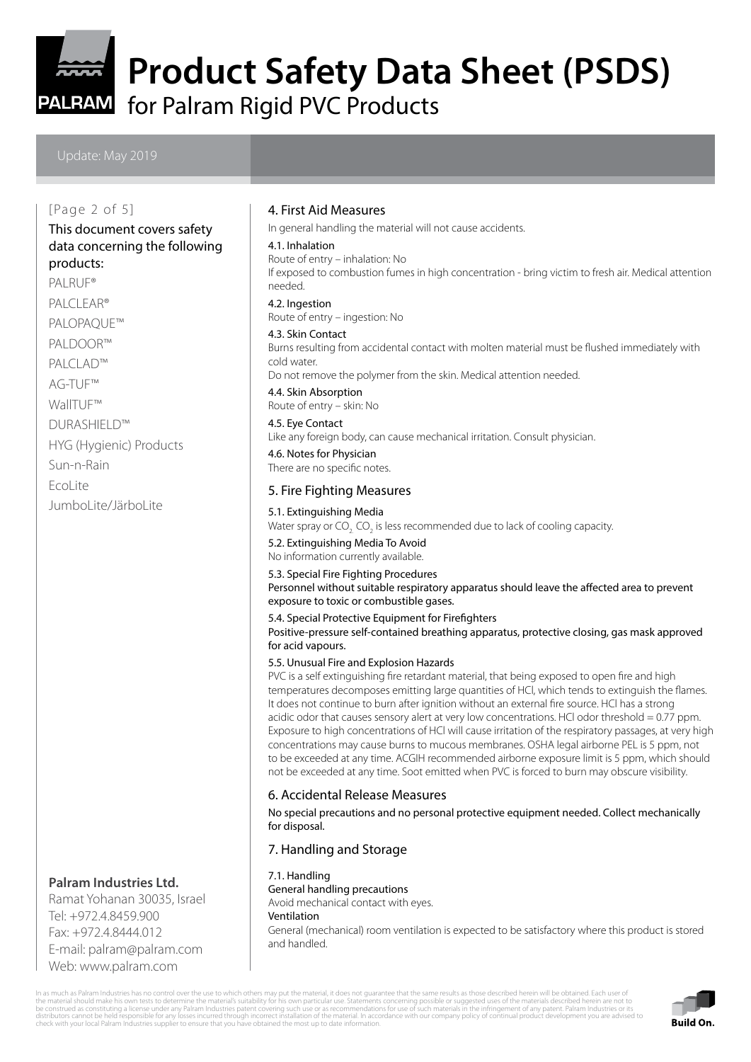

PALRAM for Palram Rigid PVC Products

### [Page 2 of 5]

## This document covers safety data concerning the following

## products:

PALRUF® PALCLEAR® PALOPAQUE™ PALDOOR™ PALCLAD™ AG-TUF™ WallTUF™ DURASHIELD™ HYG (Hygienic) Products Sun-n-Rain EcoLite JumboLite/JärboLite

## **Palram Industries Ltd.**

Ramat Yohanan 30035, Israel Tel: +972.4.8459.900 Fax: +972.4.8444.012 E-mail: palram@palram.com Web: www.palram.com

#### 4. First Aid Measures

In general handling the material will not cause accidents.

#### 4.1. Inhalation

Route of entry – inhalation: No

If exposed to combustion fumes in high concentration - bring victim to fresh air. Medical attention needed.

4.2. Ingestion Route of entry – ingestion: No

#### 4.3. Skin Contact

Burns resulting from accidental contact with molten material must be flushed immediately with cold water.

Do not remove the polymer from the skin. Medical attention needed.

4.4. Skin Absorption Route of entry – skin: No

#### 4.5. Eye Contact

Like any foreign body, can cause mechanical irritation. Consult physician.

### 4.6. Notes for Physician

There are no specific notes.

### 5. Fire Fighting Measures

#### 5.1. Extinguishing Media

Water spray or CO<sub>2.</sub> CO<sub>2</sub> is less recommended due to lack of cooling capacity.

5.2. Extinguishing Media To Avoid

No information currently available.

#### 5.3. Special Fire Fighting Procedures

Personnel without suitable respiratory apparatus should leave the affected area to prevent exposure to toxic or combustible gases.

#### 5.4. Special Protective Equipment for Firefighters

Positive-pressure self-contained breathing apparatus, protective closing, gas mask approved for acid vapours.

#### 5.5. Unusual Fire and Explosion Hazards

PVC is a self extinguishing fire retardant material, that being exposed to open fire and high temperatures decomposes emitting large quantities of HCl, which tends to extinguish the flames. It does not continue to burn after ignition without an external fire source. HCl has a strong acidic odor that causes sensory alert at very low concentrations. HCl odor threshold = 0.77 ppm. Exposure to high concentrations of HCl will cause irritation of the respiratory passages, at very high concentrations may cause burns to mucous membranes. OSHA legal airborne PEL is 5 ppm, not to be exceeded at any time. ACGIH recommended airborne exposure limit is 5 ppm, which should not be exceeded at any time. Soot emitted when PVC is forced to burn may obscure visibility.

#### 6. Accidental Release Measures

No special precautions and no personal protective equipment needed. Collect mechanically for disposal.

### 7. Handling and Storage

7.1. Handling General handling precautions Avoid mechanical contact with eyes. Ventilation General (mechanical) room ventilation is expected to be satisfactory where this product is stored and handled.

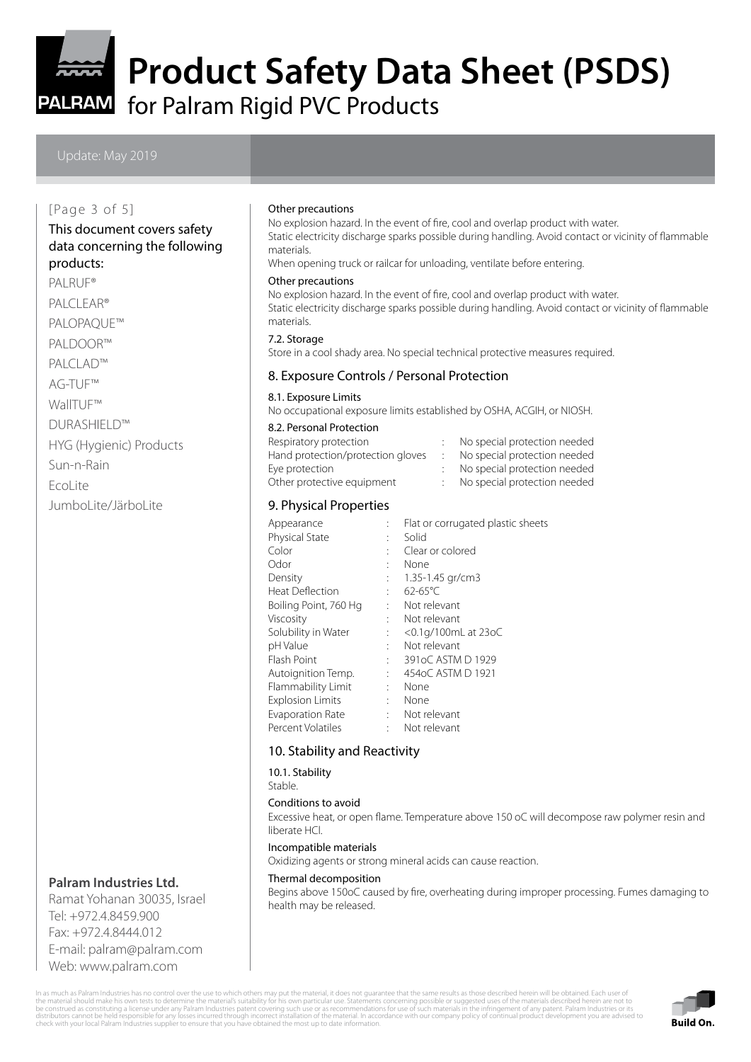

PALRAM for Palram Rigid PVC Products

#### [Page 3 of 5]

#### This document covers safety data concerning the following products:

PALRUF® PALCLEAR® PALOPAQUE™ PALDOOR™ PALCLAD™ AG-TUF™ WallTUF™ DURASHIELD™ HYG (Hygienic) Products Sun-n-Rain EcoLite

JumboLite/JärboLite

## **Palram Industries Ltd.**

Ramat Yohanan 30035, Israel Tel: +972.4.8459.900 Fax: +972.4.8444.012 E-mail: palram@palram.com Web: www.palram.com

#### Other precautions

No explosion hazard. In the event of fire, cool and overlap product with water. Static electricity discharge sparks possible during handling. Avoid contact or vicinity of flammable materials.

When opening truck or railcar for unloading, ventilate before entering.

#### Other precautions

No explosion hazard. In the event of fire, cool and overlap product with water. Static electricity discharge sparks possible during handling. Avoid contact or vicinity of flammable materials.

#### 7.2. Storage

Store in a cool shady area. No special technical protective measures required.

#### 8. Exposure Controls / Personal Protection

#### 8.1. Exposure Limits

No occupational exposure limits established by OSHA, ACGIH, or NIOSH.

#### 8.2. Personal Protection

| $0.2.1$ Crosshight Tolection      |                              |
|-----------------------------------|------------------------------|
| Respiratory protection            | No special protection needed |
| Hand protection/protection gloves | No special protection needed |
| Eye protection                    | No special protection needed |
| Other protective equipment        | No special protection needed |
|                                   |                              |

#### 9. Physical Properties

| Appearance              | ÷       | Flat or corrugated plastic sheets |
|-------------------------|---------|-----------------------------------|
| Physical State          | ÷       | Solid                             |
| Color                   | ÷       | Clear or colored                  |
| Odor                    |         | None                              |
| Density                 |         | 1.35-1.45 gr/cm3                  |
| <b>Heat Deflection</b>  |         | $62 - 65^{\circ}C$                |
| Boiling Point, 760 Hg   | ÷       | Not relevant                      |
| Viscosity               | ÷       | Not relevant                      |
| Solubility in Water     | t in    | <0.1g/100mL at 23oC               |
| pH Value                | ۰       | Not relevant                      |
| Flash Point             | ÷       | 391 o CASTM D 1929                |
| Autoignition Temp.      |         | : 454oC ASTM D 1921               |
| Flammability Limit      | ÷       | None                              |
| <b>Explosion Limits</b> | t.      | None                              |
| <b>Evaporation Rate</b> |         | : Not relevant                    |
| Percent Volatiles       | $\cdot$ | Not relevant                      |

#### 10. Stability and Reactivity

10.1. Stability

## Stable.

#### Conditions to avoid

Excessive heat, or open flame. Temperature above 150 oC will decompose raw polymer resin and liberate HCl.

#### Incompatible materials

Oxidizing agents or strong mineral acids can cause reaction.

#### Thermal decomposition

Begins above 150oC caused by fire, overheating during improper processing. Fumes damaging to health may be released.

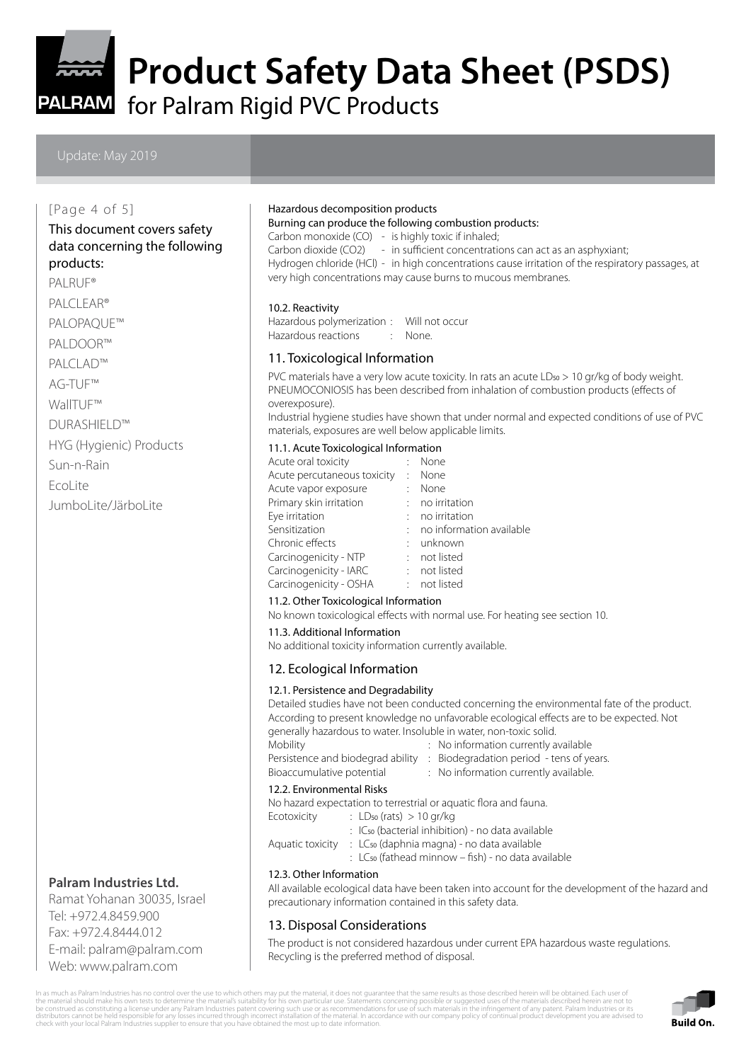

PALRAM for Palram Rigid PVC Products

#### [Page 4 of 5]

#### This document covers safety data concerning the following products:

PALRUF® PALCLEAR® PALOPAQUE™ PALDOOR™ PALCLAD™ AG-TUF™ WallTUF™ DURASHIELD™ HYG (Hygienic) Products Sun-n-Rain EcoLite JumboLite/JärboLite

## **Palram Industries Ltd.**

Ramat Yohanan 30035, Israel Tel: +972.4.8459.900 Fax: +972.4.8444.012 E-mail: palram@palram.com Web: www.palram.com

#### Hazardous decomposition products

Burning can produce the following combustion products: Carbon monoxide (CO) - is highly toxic if inhaled; Carbon dioxide (CO2) - in sufficient concentrations can act as an asphyxiant; Hydrogen chloride (HCl) - in high concentrations cause irritation of the respiratory passages, at very high concentrations may cause burns to mucous membranes.

#### 10.2. Reactivity

Hazardous polymerization : Will not occur Hazardous reactions : None.

### 11. Toxicological Information

PVC materials have a very low acute toxicity. In rats an acute LD<sub>50</sub> > 10 gr/kg of body weight. PNEUMOCONIOSIS has been described from inhalation of combustion products (effects of overexposure).

Industrial hygiene studies have shown that under normal and expected conditions of use of PVC materials, exposures are well below applicable limits.

#### 11.1. Acute Toxicological Information

|      | None                     |
|------|--------------------------|
|      | None                     |
|      | None                     |
|      | no irritation            |
|      | no irritation            |
|      | no information available |
|      | unknown                  |
|      | not listed               |
| t in | not listed               |
| to a | not listed               |
|      |                          |

#### 11.2. Other Toxicological Information

No known toxicological effects with normal use. For heating see section 10.

#### 11.3. Additional Information

No additional toxicity information currently available.

### 12. Ecological Information

#### 12.1. Persistence and Degradability

Detailed studies have not been conducted concerning the environmental fate of the product. According to present knowledge no unfavorable ecological effects are to be expected. Not generally hazardous to water. Insoluble in water, non-toxic solid.

| <b>Mobility</b>           | : No information currently available                                       |
|---------------------------|----------------------------------------------------------------------------|
|                           | Persistence and biodegrad ability : Biodegradation period - tens of years. |
| Bioaccumulative potential | : No information currently available.                                      |

#### 12.2. Environmental Risks

No hazard expectation to terrestrial or aquatic flora and fauna.

- Ecotoxicity : LD<sub>50</sub> (rats) > 10 gr/kg : IC50 (bacterial inhibition) - no data available
- Aquatic toxicity : LC<sub>50</sub> (daphnia magna) no data available

: LC50 (fathead minnow – fish) - no data available

#### 12.3. Other Information

All available ecological data have been taken into account for the development of the hazard and precautionary information contained in this safety data.

### 13. Disposal Considerations

The product is not considered hazardous under current EPA hazardous waste regulations. Recycling is the preferred method of disposal.